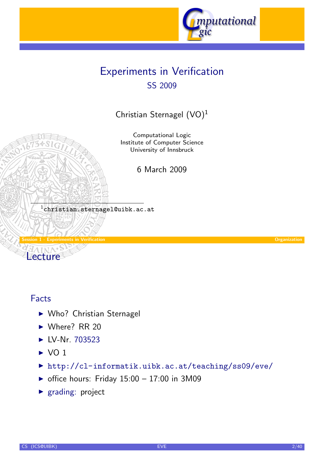

# Experiments in Verification SS 2009

Christian Sternagel (VO)<sup>1</sup>

Computational Logic Institute of Computer Science University of Innsbruck

6 March 2009

 $^{\rm 1}$ christian.sternagel@uibk.ac.at

Session 1 - Experiments in Verification Organization Lecture

### Facts

- $\triangleright$  [Wh](#page-0-0)o? Christian [Sternagel](http://cl-informatik.uibk.ac.at)
- $\triangleright$  Where? RR 20
- $\blacktriangleright$  LV-Nr. 703523
- $\triangleright$  VO 1
- ▶ http://cl-informatik.uibk.ac.at/teaching/ss09/eve/
- $\triangleright$  [offi](http://orawww.uibk.ac.at/public_prod/owa/lfuonline_lv.details?sem_id_in=09S&lvnr_id_in=703523)ce hours: Friday 15:00 17:00 in 3M09
- <span id="page-0-0"></span> $\blacktriangleright$  grading: project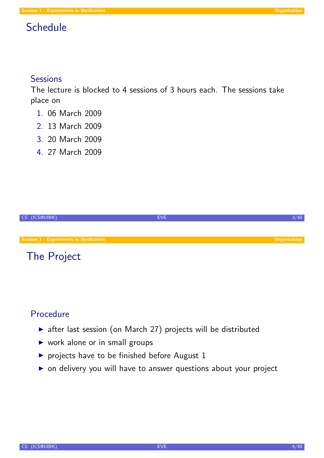# **Schedule**

### **Sessions**

The lecture is blocked to 4 sessions of 3 hours each. The sessions take place on

- 1. 06 March 2009
- 2. 13 March 2009
- 3. 20 March 2009
- 4. 27 March 2009

| CS (ICS@UIBK)                                  | EVE. |                     |
|------------------------------------------------|------|---------------------|
|                                                |      |                     |
| <b>Session 1 - Experiments in Verification</b> |      | <b>Organization</b> |
| The Project                                    |      |                     |

### [Procedu](#page-0-0)re

- $\triangleright$  after last session (on March 27) projects will be distributed
- $\triangleright$  work alone or in small groups
- $\blacktriangleright$  projects have to be finished before August 1
- $\triangleright$  on delivery you will have to answer questions about your project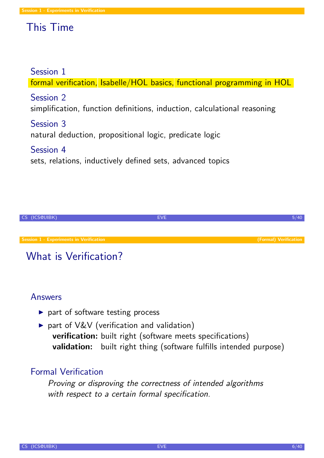# This Time

### Session 1

formal verification, Isabelle/HOL basics, functional programming in HOL

### Session 2

simplification, function definitions, induction, calculational reasoning

Session 3 natural deduction, propositional logic, predicate logic

Session 4 sets, relations, inductively defined sets, advanced topics



# What is Verification?

### Answers

- $\triangleright$  [part](#page-0-0) of software testing process
- $\triangleright$  part of V&V (verification and validation) verification: built right (software meets specifications) validation: built right thing (software fulfills intended purpose)

### Formal Verification

<span id="page-2-0"></span>Proving or disproving the correctness of intended algorithms with respect to a certain formal specification.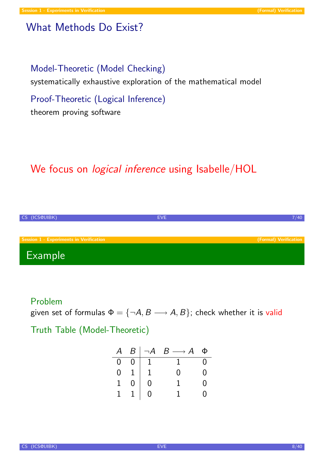### What Methods Do Exist?

### Model-Theoretic (Model Checking)

systematically exhaustive exploration of the mathematical model

Proof-Theoretic (Logical Inference)

theorem proving software

# We focus on *logical inference* using Isabelle/HOL



#### Problem

[given set](#page-0-0) of formulas  $\Phi = \{\neg A, B \longrightarrow A, B\}$ [; c](#page-2-0)heck whether it is valid

Truth Table (Model-Theoretic)

| $\bm{\mathcal{A}}$ |                                                                                                              | $B \mid \neg A$ | $B \longrightarrow A$ | Φ   |
|--------------------|--------------------------------------------------------------------------------------------------------------|-----------------|-----------------------|-----|
|                    |                                                                                                              |                 | $\overline{1}$        | - ೧ |
|                    | $\begin{tabular}{ c c c c } \hline 0 & 0 & 1 \\ 0 & 1 & 1 \\ 1 & 0 & 0 \\ 1 & 1 & 0 \\ \hline \end{tabular}$ |                 | N                     | 0   |
|                    |                                                                                                              |                 |                       | ( ) |
|                    |                                                                                                              |                 |                       | ( ) |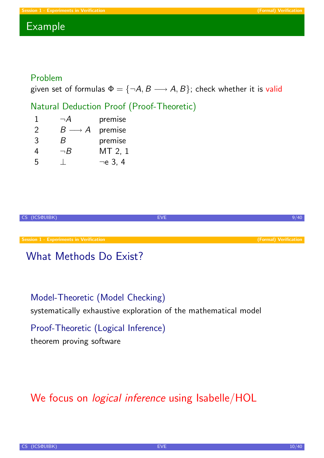### Example

### Problem

given set of formulas  $\Phi = {\neg A, B \longrightarrow A, B}$ ; check whether it is valid

### Natural Deduction Proof (Proof-Theoretic)

| 1 | $\neg A$             | premise       |
|---|----------------------|---------------|
| 2 | $B\longrightarrow A$ | premise       |
| 3 | R                    | premise       |
| 4 | $\neg B$             | MT 2, 1       |
| 5 |                      | $\neg$ e 3, 4 |



# What Methods Do Exist?

### Model-Theoretic (Model Checking)

[systemat](#page-0-0)ically exhaustive exploration [of the ma](#page-2-0)thematical model

Proof-Theoretic (Logical Inference)

theorem proving software

# We focus on *logical inference* using Isabelle/HOL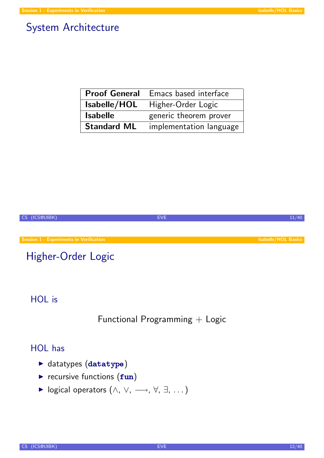### System Architecture

| <b>Proof General</b> | <b>Emacs based interface</b> |
|----------------------|------------------------------|
| Isabelle/HOL         | Higher-Order Logic           |
| <b>Isabelle</b>      | generic theorem prover       |
| <b>Standard ML</b>   | implementation language      |



### HOL is

Functional Programming + Logic

### HOL has

- $\blacktriangleright$  datatypes  $(d{\texttt{atatype}})$
- $\triangleright$  recursive functions (fun)
- <span id="page-5-0"></span>**►** logical operators  $(\land, \lor, \longrightarrow, \forall, \exists, ...)$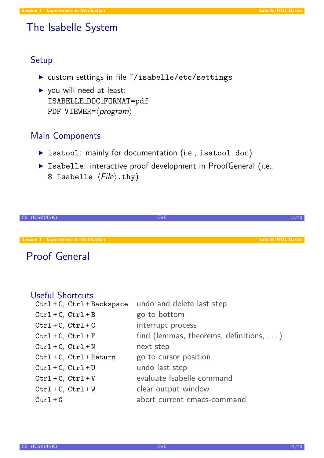### The Isabelle System

#### Setup

- ▶ custom settings in file ~/isabelle/etc/settings
- $\triangleright$  you will need at least: ISABELLE DOC FORMAT=pdf  $PDF\_VIEWER = \langle program \rangle$

### Main Components

- $\triangleright$  isatool: mainly for documentation (i.e., isatool doc)
- **Example:** interactive proof development in ProofGeneral (i.e., \$ Isabelle  $\langle File \rangle$ .thy)

| CS (ICS@UIBK)                                  | <b>EVE</b> |                            |
|------------------------------------------------|------------|----------------------------|
|                                                |            |                            |
| <b>Session 1 - Experiments in Verification</b> |            | <b>Isabelle/HOL Basics</b> |
| $\sim$                                         |            |                            |

### Proof General

#### Useful Shortcuts

| $Ctrl + C$ , $Ctrl + Backspace$ | undo and delete last step                      |
|---------------------------------|------------------------------------------------|
| $Ctrl + C, Ctr1 + B$            | go to bottom                                   |
| $Ctrl + C, Ctrl + C$            | interrupt process                              |
| $Ctrl + C, Ctrl + F$            | find (lemmas, theorems, definitions, $\dots$ ) |
| $Ctrl + C, Ctr1 + N$            | next step                                      |
| $Ctrl + C, Ctrl + Return$       | go to cursor position                          |
| $Ctrl + C, Ctrl + U$            | undo last step                                 |
| $Ctrl + C, Ctr1 + V$            | evaluate Isabelle command                      |
| $Ctrl + C, Ctr1 + W$            | clear output window                            |
| $Ctrl + G$                      | abort current emacs-command                    |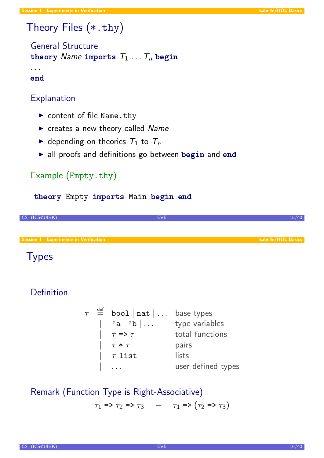# Theory Files (\*.thy)

General Structure theory Name imports  $T_1 \ldots T_n$  begin

. . . end

### **Explanation**

- $\triangleright$  content of file Name.thy
- $\triangleright$  creates a new theory called Name
- $\triangleright$  depending on theories  $T_1$  to  $T_n$
- $\triangleright$  all proofs and definitions go between begin and end

### Example (Empty.thy)

#### theory Empty imports Main begin end



### **Types**

### Definition

 $\tau$   $\stackrel{\text{def}}{=}$  bool  $|\text{ nat}| \ldots$  [base t](#page-5-0)ypes | 'a | 'b | ... type variables  $\begin{array}{ccc} \mid & \tau \Rightarrow \tau & \text{total functions} \end{array}$  $\begin{array}{ccc} \mid & \tau \ast \tau & \text{ pairs} \end{array}$  $\int \tau \text{ list}$  lists user-defined types

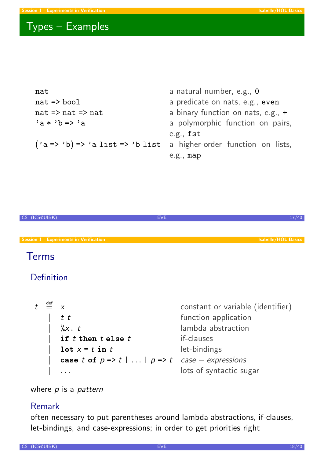# Types – Examples

| nat                                   | a natural number, e.g., 0            |
|---------------------------------------|--------------------------------------|
| $nat \Rightarrow bool$                | a predicate on nats, e.g., even      |
| $nat \Rightarrow nat \Rightarrow nat$ | a binary function on nats, e.g., $+$ |
| $a * b \Rightarrow a$                 | a polymorphic function on pairs,     |
|                                       | e.g., $fst$                          |
| $('a => 'b) => 'a list => 'b list$    | a higher-order function on lists,    |
|                                       | e.g., map                            |



### Terms

### Definition

| $t \stackrel{\text{def}}{=} x$ |                                                                             | constant or variable (identifier) |
|--------------------------------|-----------------------------------------------------------------------------|-----------------------------------|
|                                | $t$ $t$                                                                     | function application              |
|                                | $\int_{0}^{\infty} X \cdot t$                                               | lambda abstraction                |
|                                | if $t$ then $t$ else $t$                                                    | if-clauses                        |
|                                | $\text{let } x = t \text{ in } t$                                           | let-bindings                      |
|                                | case t of $p \Rightarrow t \mid  \mid p \Rightarrow t$ case $-$ expressions |                                   |
|                                |                                                                             | lots of syntactic sugar           |

where  $p$  is a pattern

### Remark

often necessary to put parentheses around lambda abstractions, if-clauses, let-bindings, and case-expressions; in order to get priorities right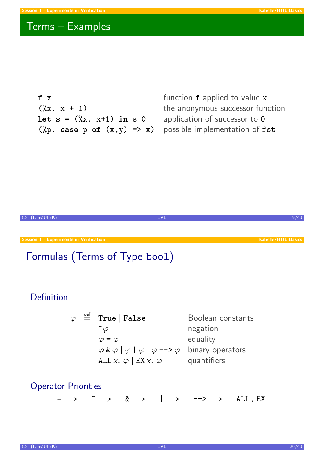# Terms – Examples

 $f x$ <br> $(f x)$  function  $f$  applied to value x<br> $(f x)$  the anonymous successor fun let  $s = (\%x \cdot x+1)$  in s 0 application of successor to 0 (%p. case p of  $(x,y) \Rightarrow x$ ) possible implementation of fst

the anonymous successor function



$$
\varphi \stackrel{\text{def}}{=} \text{True} | \text{False} \qquad \text{Boolean constants} \\ |\quad \tilde{\varphi} \qquad \text{negation} \\ |\quad \varphi = \varphi \qquad \text{equality} \\ |\quad \varphi \& \varphi | \varphi | \varphi | \varphi \text{ max} \\ | \quad \text{ALL } x. \varphi | \text{ EX } x. \varphi \qquad \text{quantifiers}
$$

# Operator Priorities

 $=$   $>$   $\sim$   $\ge$   $\&$   $>$   $\mid$   $>$  -->  $>$  ALL, EX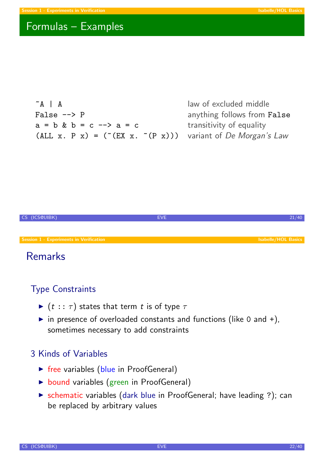# Formulas – Examples

 $\sim$ A | A law of excluded middle False --> P anything follows from False  $a = b$  &  $b = c \rightarrow a = c$  transitivity of equality (ALL x. P x) = ( $(CEX x. (P x))$ ) variant of De Morgan's Law



# Remarks

### Type Constraints

- $\blacktriangleright$  (t ::  $\tau$ ) states that term t is of type  $\tau$
- in presence of overloaded constants and functions (like 0 and  $+$ ), sometimes necessary to add constraints

### 3 Kinds of Variables

- $\triangleright$  free variables (blue in ProofGeneral)
- $\triangleright$  bound variables (green in ProofGeneral)
- ▶ schematic variables (dark blue in ProofGeneral; have leading ?); can be replaced by arbitrary values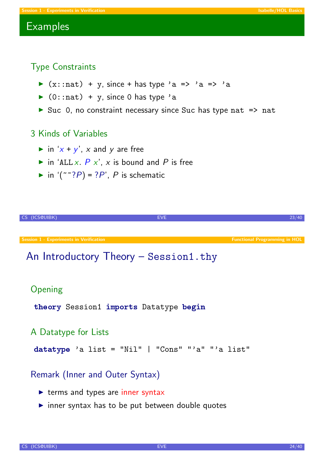### **Examples**

### Type Constraints

- $\triangleright$  (x::nat) + y, since + has type 'a => 'a => 'a
- $\triangleright$  (0::nat) + y, since 0 has type 'a
- In Suc 0, no constraint necessary since Suc has type nat  $\Rightarrow$  nat

#### 3 Kinds of Variables

- in 'x + y', x and y are free
- in 'ALL x.  $P$  x', x is bound and P is free
- in '( $\sim$ ?P) = ?P', P is schematic



#### Remark (Inner and Outer Syntax)

- $\triangleright$  terms and types are inner syntax
- <span id="page-11-0"></span> $\triangleright$  inner syntax has to be put between double quotes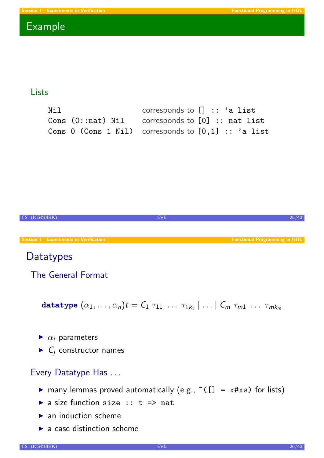### Example

#### Lists

| Nil | corresponds to $[] :: 'a list$                              |
|-----|-------------------------------------------------------------|
|     | Cons $(0: \text{nat})$ Nil corresponds to $[0]$ :: nat list |
|     | Cons 0 (Cons 1 Nil) corresponds to $[0,1]$ :: 'a list       |



- $\triangleright$  a size function size :: t => nat
- $\blacktriangleright$  an induction scheme
- $\blacktriangleright$  a case distinction scheme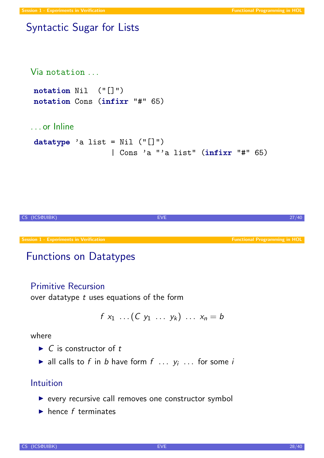### Syntactic Sugar for Lists

```
Via notation . . .
notation Nil ("[]")
notation Cons (infixr "#" 65)
. . . or Inline
datatype 'a list = Nil ("[]")| Cons 'a "'a list" (infixr "#" 65)
```


# Functions on Datatypes

### Primitive Recursion

over datatype  $t$  uses equations of the form

$$
f x_1 \ldots (C y_1 \ldots y_k) \ldots x_n = b
$$

where

- $\triangleright$  C is constructor of t
- ightharpoonly all calls to f in b have form  $f$  ...  $y_i$  ... for some in

### Intuition

- $\triangleright$  every recursive call removes one constructor symbol
- $\blacktriangleright$  hence f terminates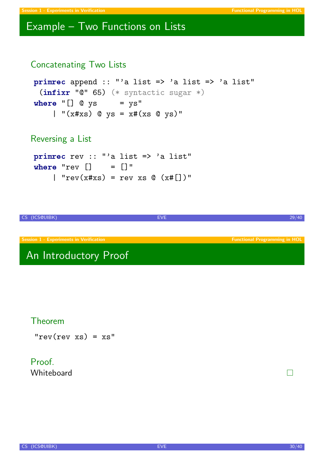### Example – Two Functions on Lists

```
Concatenating Two Lists
```

```
primrec append :: "'a list => 'a list => 'a list"
 (intir "0" 65) (* syntactic sugar *)
where "[] @ys = ys"| "(x \# xs) @ ys = xf(xs \ @ ys)"
```
Reversing a List

```
primrec rev :: "'a list => 'a list"
where "rev [] = []"
    | "rev(x#xs) = rev xs @ (x#[])"
```
CS (ICS@UIBK) EVE 29/40 Session 1 - Experiments in Verification Functional Programming in HOL Control of the Functional Programming in HOL

# An Introductory Proof

### Theorem

 $"rev(rev xs) = xs"$ 

### Proof **Whiteboard**

CS (ICS@UIBK) 30/40

 $\Box$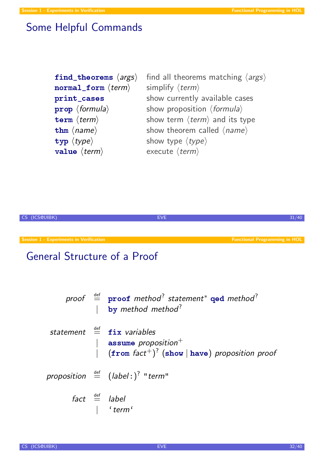# Some Helpful Commands

| find_theorems $\langle \text{args} \rangle$<br>$normal\_form \langle term \rangle$ | find all theorems matching $\langle \text{args} \rangle$<br>simplify $\langle term \rangle$ |
|------------------------------------------------------------------------------------|---------------------------------------------------------------------------------------------|
| print_cases                                                                        | show currently available cases                                                              |
| $prop \langle formula \rangle$                                                     | show proposition $\langle formula \rangle$                                                  |
| $\texttt{term} \langle \textit{term} \rangle$                                      | show term $\langle term \rangle$ and its type                                               |
| thm $\langle name \rangle$                                                         | show theorem called $\langle name \rangle$                                                  |
| $\text{typ } \langle \text{type} \rangle$                                          | show type $\langle type \rangle$                                                            |
| value $\langle term \rangle$                                                       | execute $\langle term \rangle$                                                              |

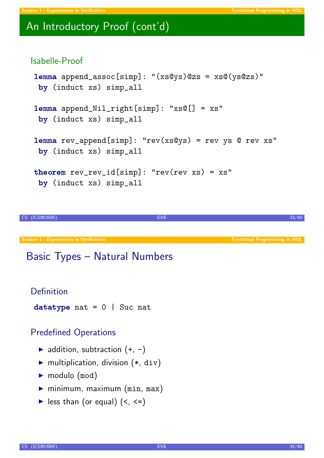# An Introductory Proof (cont'd)

#### Isabelle-Proof

```
lemma append_assoc[simp]: "(xs@ys)@zs = xs@(ys@zs)"
by (induct xs) simp_all
lemma append_Nil_right[simp]: "xs@[] = xs"
by (induct xs) simp_all
lemma rev_append[simp]: "rev(xs@ys) = rev ys @ rev xs"
by (induct xs) simp_all
```

```
theorem rev\_rev\_id[simp]: "rev(rev xs) = xs"
by (induct xs) simp_all
```
CS (ICS@UIBK) 33/40

Session 1 - Experiments in Verification Functional Programming in HOL Control of the Functional Programming in HOL

# Basic Types – Natural Numbers

#### Definition

```
datatype nat = 0 | Suc nat
```
### Predefined Operations

- $\blacktriangleright$  addition, subtraction  $(+, -)$
- $\blacktriangleright$  multiplication, division  $(*, div)$
- $\blacktriangleright$  modulo (mod)
- $\blacktriangleright$  minimum, maximum (min, max)
- $\blacktriangleright$  less than (or equal) (<, <=)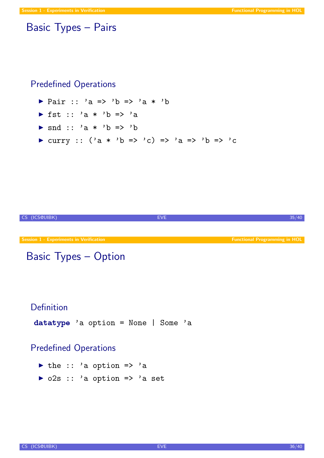### Basic Types – Pairs

### Predefined Operations

- $\triangleright$  Pair :: 'a => 'b => 'a \* 'b
- If  $st :: 'a * 'b =&>'a$
- $\triangleright$  snd :: 'a \* 'b => 'b
- In curry ::  $('a * 'b => 'c) => 'a => 'b => 'c$



## Basic Types – Option

### Definition

datatype 'a option = None | Some 'a

### Predefined Operations

- $\triangleright$  the :: 'a option => 'a
- $\triangleright$  o2s :: 'a option => 'a set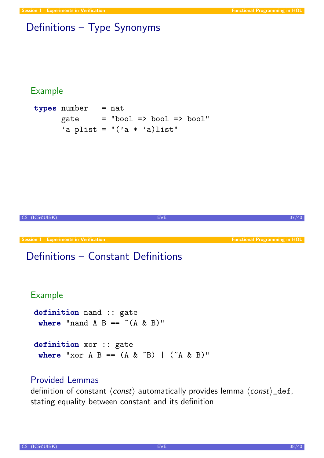# Definitions – Type Synonyms

#### Example

```
types number = nat
     gate = "bool => bool => bool"
     'a plist = "('a * 'a)list"
```


CS (ICS@UIBK) 37/40

### Provided Lemmas

definition of constant  $\langle const \rangle$  automatically provides lemma  $\langle const \rangle$  def, stating equality between constant and its definition